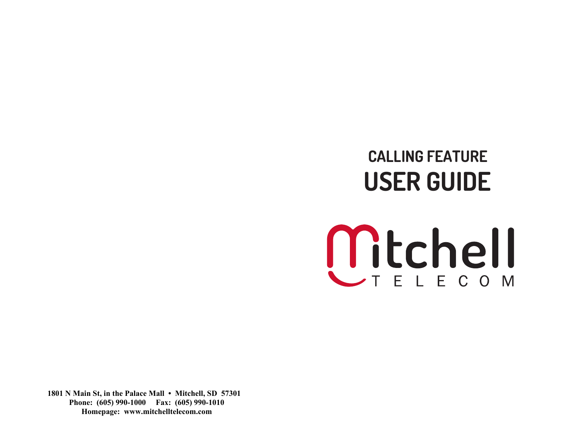# **CALLING FEATURE USER GUIDE**



**1801 N Main St, in the Palace Mall • Mitchell, SD 57301 Phone: (605) 990-1000 Fax: (605) 990-1010 Homepage: www.mitchelltelecom.com**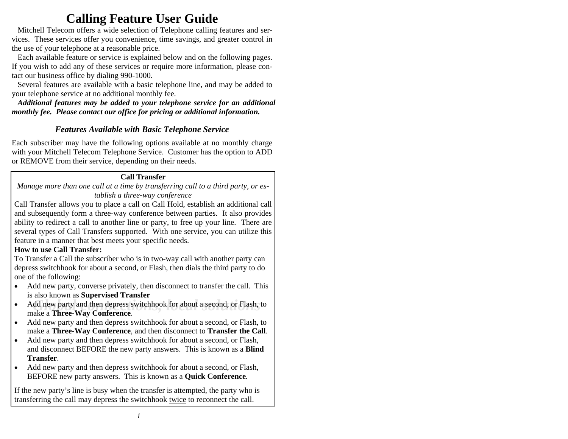# **Calling Feature User Guide**

 Mitchell Telecom offers a wide selection of Telephone calling features and services. These services offer you convenience, time savings, and greater control in the use of your telephone at a reasonable price.

 Each available feature or service is explained below and on the following pages. If you wish to add any of these services or require more information, please contact our business office by dialing 990-1000.

 Several features are available with a basic telephone line, and may be added to your telephone service at no additional monthly fee.

 *Additional features may be added to your telephone service for an additional monthly fee. Please contact our office for pricing or additional information.*

# *Features Available with Basic Telephone Service*

Each subscriber may have the following options available at no monthly charge with your Mitchell Telecom Telephone Service. Customer has the option to ADD or REMOVE from their service, depending on their needs.

# **Call Transfer**

*Manage more than one call at a time by transferring call to a third party, or establish a three-way conference* 

Call Transfer allows you to place a call on Call Hold, establish an additional call and subsequently form a three-way conference between parties. It also provides ability to redirect a call to another line or party, to free up your line. There are several types of Call Transfers supported. With one service, you can utilize this feature in a manner that best meets your specific needs.

# **How to use Call Transfer:**

To Transfer a Call the subscriber who is in two-way call with another party can depress switchhook for about a second, or Flash, then dials the third party to do one of the following:

- Add new party, converse privately, then disconnect to transfer the call. This is also known as **Supervised Transfer**
- Add new party and then depress switchhook for about a second, or Flash, to make a Three Way Conference •make a **Three-Way Conference**.
- • Add new party and then depress switchhook for about a second, or Flash, to make a **Three-Way Conference**, and then disconnect to **Transfer the Call**.
- Add new party and then depress switchhook for about a second, or Flash, and disconnect BEFORE the new party answers. This is known as a **Blind Transfer**.
- Add new party and then depress switchhook for about a second, or Flash, BEFORE new party answers. This is known as a **Quick Conference***.*

If the new party's line is busy when the transfer is attempted, the party who is transferring the call may depress the switchhook twice to reconnect the call.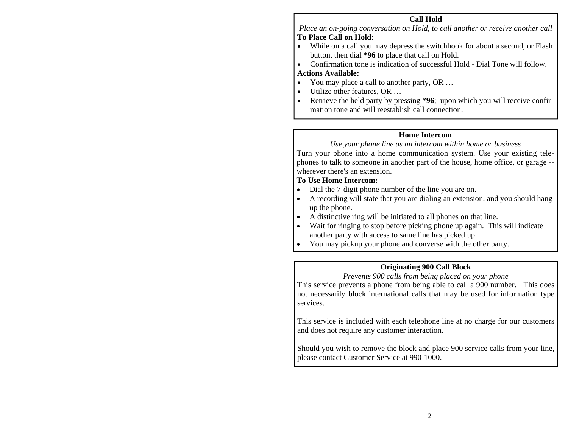#### **Call Hold**

*Place an on-going conversation on Hold, to call another or receive another call*  **To Place Call on Hold:** 

• While on a call you may depress the switchhook for about a second, or Flash button, then dial **\*96** to place that call on Hold.

• Confirmation tone is indication of successful Hold - Dial Tone will follow. **Actions Available:**

- You may place a call to another party, OR ...
- Utilize other features, OR ...
- Retrieve the held party by pressing **\*96**; upon which you will receive confirmation tone and will reestablish call connection.

#### **Home Intercom**

#### *Use your phone line as an intercom within home or business*

Turn your phone into a home communication system. Use your existing telephones to talk to someone in another part of the house, home office, or garage - wherever there's an extension.

#### **To Use Home Intercom:**

- •Dial the 7-digit phone number of the line you are on.
- • A recording will state that you are dialing an extension, and you should hang up the phone.
- A distinctive ring will be initiated to all phones on that line.
- •Wait for ringing to stop before picking phone up again. This will indicate another party with access to same line has picked up.
- •You may pickup your phone and converse with the other party.

#### **Originating 900 Call Block**

#### *Prevents 900 calls from being placed on your phone*

This service prevents a phone from being able to call a 900 number. This does not necessarily block international calls that may be used for information type services.

This service is included with each telephone line at no charge for our customers and does not require any customer interaction.

Should you wish to remove the block and place 900 service calls from your line, please contact Customer Service at 990-1000.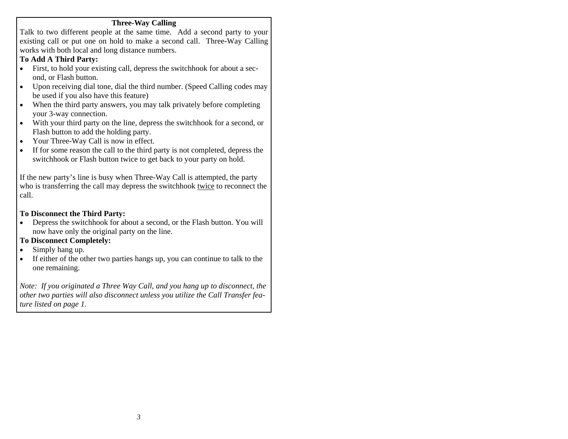#### **Three-Way Calling**

Talk to two different people at the same time. Add a second party to your existing call or put one on hold to make a second call. Three-Way Calling works with both local and long distance numbers.

# **To Add A Third Party:**

- First, to hold your existing call, depress the switchhook for about a second, or Flash button.
- • Upon receiving dial tone, dial the third number. (Speed Calling codes may be used if you also have this feature)
- • When the third party answers, you may talk privately before completing your 3-way connection.
- • With your third party on the line, depress the switchhook for a second, or Flash button to add the holding party.
- •Your Three-Way Call is now in effect.
- • If for some reason the call to the third party is not completed, depress the switchhook or Flash button twice to get back to your party on hold.

If the new party's line is busy when Three-Way Call is attempted, the party who is transferring the call may depress the switchhook twice to reconnect the call.

# **To Disconnect the Third Party:**

• Depress the switchhook for about a second, or the Flash button. You will now have only the original party on the line.

# **To Disconnect Completely:**

- •Simply hang up.
- • If either of the other two parties hangs up, you can continue to talk to the one remaining.

*Note: If you originated a Three Way Call, and you hang up to disconnect, the other two parties will also disconnect unless you utilize the Call Transfer feature listed on page 1.*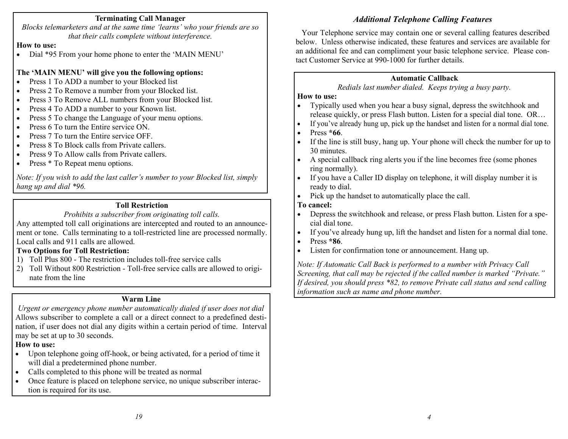#### **Terminating Call Manager**

*Blocks telem arketers and at the same time 'learns' who your friends are so that their calls complete without interference.* 

#### **How to use:**

• Dial \*95 From your home phone to enter the 'MAIN MENU'

# **The 'MAIN MENU' will give you the following o ptions:**

- •• Press 1 To ADD a number to your Blocked list
- •• Press 2 To Remove a number from your Blocked list.
- •• Press 3 To Remove ALL numbers from your Blocked list.
- •• Press 4 To ADD a number to your Known list.
- •• Press 5 To change the Language of your menu options.
- •• Press 6 To turn the Entire service ON.
- •• Press 7 To turn the Entire service OFF.
- •• Press 8 To Block calls from Private callers.
- •• Press 9 To Allow calls from Private callers.
- •• Press \* To Repeat menu options.

*Note: If you wish to add the last caller's number to your Blocked list, simply han g up an d dial \*96.*

# **Toll Restriction**

#### *Prohibits a subscriber from originating toll calls.*

Any atte mpted toll call originations are intercepted and ro uted to an announcement or tone. Calls terminating to a toll-restricted line are processed normally. Local calls and 911 calls are allowed.

# **Two Options for Toll Restriction:**

- 1) Toll Plus 800 The restriction includes toll-free service calls
- 2) T oll Without 800 Restriction T oll-free service calls are allowed t o originate fr om the line

# **Warm Line**

*Urgent or emergency phone number automatically dialed if user does not dial* Allows subscriber to com plete <sup>a</sup> call or <sup>a</sup> direct connect to <sup>a</sup> predefined destination, if user does not dial an y digits within <sup>a</sup> certain period of time. Interval ma y be set at up to 30 seconds.

# **How to use:**

- •• Upon telephone going off-hook, or being activated, for a period of time it will dial a predeter mined phone nu mber.
- •• Calls completed to this phone will be treated as normal
- • Once feature is placed on telephone service, no unique subscriber interacti on is required for its use.

Your Telephone service ma y contain one or several calling features described below. Unless otherwise indicated, these features an d services are available for an additional fee and can co mpliment your basic telephone service. Please contact Cust omer Service at 990-1000 for further details.

# **Automatic Callback**

# *Redials last number dialed. Keeps trying a busy party.*

# **How to use:**

- •• Typically used when you hear a busy signal, depress the switchhook and release quickly, or press Flash button. Listen for <sup>a</sup> special dial tone. OR…
- •• If you've already hung up, pick up the handset and listen for a normal dial tone.
- •Press **\*66**.
- •• If the line is still busy, hang up. Your phone will check the number for up to 30 minutes.
- •• A special callback ring alerts you if the line becomes free (some phones ring nor mall y).
- •• If you have a Caller ID display on telephone, it will display number it is read y to dial.
- •• Pick up the handset to automatically place the call.

# **To cancel:**

- •• Depress the switchhook and release, or press Flash button. Listen for a special dial tone.
- •• If you've already hung up, lift the handset and listen for a normal dial tone.
- •Press **\*86**.
- •• Listen for confirmation tone or announcement. Hang up.

*Note: If Automatic Call Back is performed t o a num ber wit h Priv acy Call Screening, that call may be rejected if the called number is marked "Private." If desired, you should press \*82, to remove Private call status and send calling information such as name and ph one number.*

*4*

# *Additional Telephone Calling Fe atures*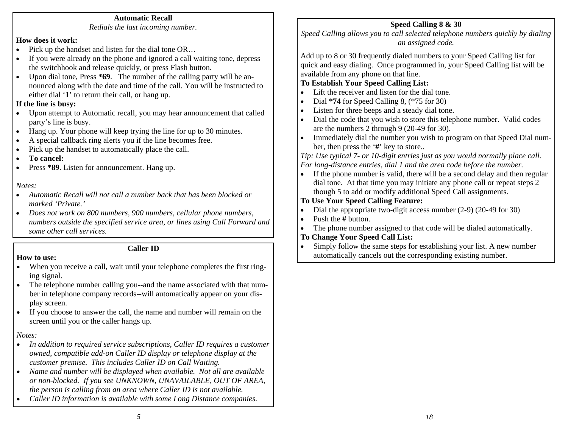#### **Automatic Recall**

*Redials the last incoming number.* 

#### **How does it work:**

- •Pick up the handset and listen for the dial tone OR…
- • If you were already on the phone and ignored a call waiting tone, depress the switchhook and release quickly, or press Flash button.
- • Upon dial tone, Press **\*69**. The number of the calling party will be announced along with the date and time of the call. You will be instructed to either dial '**1**' to return their call, or hang up.

#### **If the line is busy:**

- • Upon attempt to Automatic recall, you may hear announcement that called party's line is busy.
- •Hang up. Your phone will keep trying the line for up to 30 minutes.
- •A special callback ring alerts you if the line becomes free.
- •Pick up the handset to automatically place the call.
- •**To cancel:**
- •Press **\*89**. Listen for announcement. Hang up.

*Notes:* 

- *Automatic Recall will not call a number back that has been blocked or marked 'Private.'*
- *Does not work on 800 numbers, 900 numbers, cellular phone numbers, numbers outside the specified service area, or lines using Call Forward and some other call services.*

#### **Caller ID**

#### **How to use:**

- • When you receive a call, wait until your telephone completes the first ringing signal.
- • The telephone number calling you--and the name associated with that number in telephone company records--will automatically appear on your display screen.
- If you choose to answer the call, the name and number will remain on the screen until you or the caller hangs up.

*Notes:* 

- • *In addition to required service subscriptions, Caller ID requires a customer owned, compatible add-on Caller ID display or telephone display at the customer premise. This includes Caller ID on Call Waiting.*
- $\bullet$  *Name and number will be displayed when available. Not all are available or non-blocked. If you see UNKNOWN, UNAVAILABLE, OUT OF AREA, the person is calling from an area where Caller ID is not available.*
- •*Caller ID information is available with some Long Distance companies.*

#### **Speed Calling 8 & 30**

*Speed Calling allows you to call selected telephone numbers quickly by dialing an assigned code.* 

Add up to 8 or 30 frequently dialed numbers to your Speed Calling list for quick and easy dialing. Once programmed in, your Speed Calling list will be available from any phone on that line.

#### **To Establish Your Speed Calling List:**

- •Lift the receiver and listen for the dial tone.
- •Dial **\*74** for Speed Calling 8, (\*75 for 30)
- •Listen for three beeps and a steady dial tone.
- • Dial the code that you wish to store this telephone number. Valid codes are the numbers 2 through 9 (20-49 for 30).
- • Immediately dial the number you wish to program on that Speed Dial number, then press the ' **#**' key to store..

*Tip: Use typical 7- or 10-digit entries just as you would normally place call. For long-distance entries, dial 1 and the area code before the number.* 

• If the phone number is valid, there will be a second delay and then regular dial tone. At that time you may initiate any phone call or repeat steps 2 though 5 to add or modify additional Speed Call assignments.

#### **To Use Your Speed Calling Feature:**

- •Dial the appropriate two-digit access number (2-9) (20-49 for 30)
- •• Push the # button.
- •The phone number assigned to that code will be dialed automatically.
- **To Change Your Speed Call List:**
- • Simply follow the same steps for establishing your list. A new number automatically cancels out the corresponding existing number.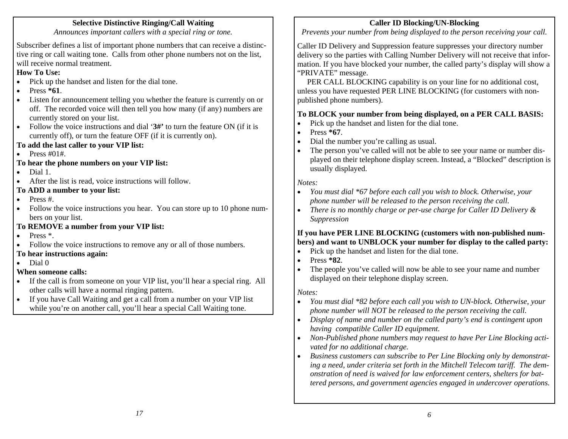### **Selective Distinctive Ringing/Call Waiting**

*Announces important callers with a special ring or tone.* 

Subscriber defines a list of important phone numbers that can receive a distinctive ring or call waiting tone. Calls from other phone numbers not on the list, will receive normal treatment.

# **How To Use:**

- Pick up the handset and listen for the dial tone.
- •Press **\*61**.
- • Listen for announcement telling you whether the feature is currently on or off. The recorded voice will then tell you how many (if any) numbers are currently stored on your list.
- • Follow the voice instructions and dial '**3#'** to turn the feature ON (if it is currently off), or turn the feature OFF (if it is currently on).
- **To add the last caller to your VIP list:**
- Press #01#.
- **To hear the phone numbers on your VIP list:**
- •Dial 1.
- •After the list is read, voice instructions will follow.

# **To ADD a number to your list:**

- •Press #.
- $\bullet$  Follow the voice instructions you hear. You can store up to 10 phone numbers on your list.
- **To REMOVE a number from your VIP list:**
- Press \*.
- •Follow the voice instructions to remove any or all of those numbers.
- **To hear instructions again:**
- •Dial 0

# **When someone calls:**

- • If the call is from someone on your VIP list, you'll hear a special ring. All other calls will have a normal ringing pattern.
- If you have Call Waiting and get a call from a number on your VIP list while you're on another call, you'll hear a special Call Waiting tone.

# **Caller ID Blocking/UN-Blocking**

*Prevents your number from being displayed to the person receiving your call.* 

Caller ID Delivery and Suppression feature suppresses your directory number delivery so the parties with Calling Number Delivery will not receive that information. If you have blocked your number, the called party's display will show a "PRIVATE" message.

 PER CALL BLOCKING capability is on your line for no additional cost, unless you have requested PER LINE BLOCKING (for customers with nonpublished phone numbers).

# **To BLOCK your number from being displayed, on a PER CALL BASIS:**

- •Pick up the handset and listen for the dial tone.
- •Press **\*67**.
- •Dial the number you're calling as usual.
- • The person you've called will not be able to see your name or number displayed on their telephone display screen. Instead, a "Blocked" description is usually displayed.

#### *Notes:*

- • *You must dial \*67 before each call you wish to block. Otherwise, your phone number will be released to the person receiving the call.*
- • *There is no monthly charge or per-use charge for Caller ID Delivery & Suppression*

#### **If you have PER LINE BLOCKING (customers with non-published numbers) and want to UNBLOCK your number for display to the called party:**

- •Pick up the handset and listen for the dial tone.
- •Press **\*82**.
- • The people you've called will now be able to see your name and number displayed on their telephone display screen.

# *Notes:*

- • *You must dial \*82 before each call you wish to UN-block. Otherwise, your phone number will NOT be released to the person receiving the call.*
- • *Display of name and number on the called party's end is contingent upon having compatible Caller ID equipment.*
- • *Non-Published phone numbers may request to have Per Line Blocking activated for no additional charge.*
- • *Business customers can subscribe to Per Line Blocking only by demonstrating a need, under criteria set forth in the Mitchell Telecom tariff. The demonstration of need is waived for law enforcement centers, shelters for battered persons, and government agencies engaged in undercover operations.*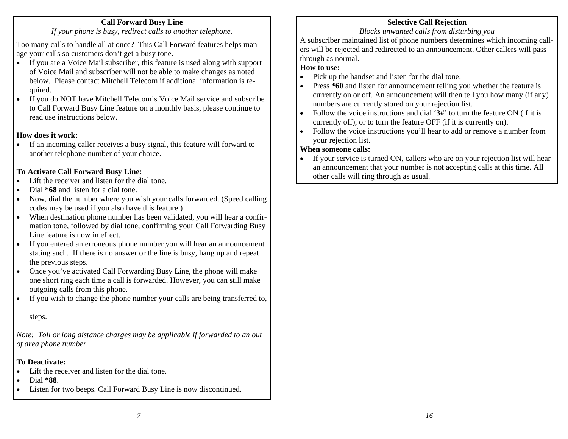#### **Call Forward Busy Line**

*If your phone is busy, redirect calls to another telephone.* 

Too many calls to handle all at once? This Call Forward features helps manage your calls so customers don't get a busy tone.

- • If you are a Voice Mail subscriber, this feature is used along with support of Voice Mail and subscriber will not be able to make changes as noted below. Please contact Mitchell Telecom if additional information is required.
- • If you do NOT have Mitchell Telecom's Voice Mail service and subscribe to Call Forward Busy Line feature on a monthly basis, please continue to read use instructions below.

#### **How does it work:**

• If an incoming caller receives a busy signal, this feature will forward to another telephone number of your choice.

#### **To Activate Call Forward Busy Line:**

- •Lift the receiver and listen for the dial tone.
- •Dial **\*68** and listen for a dial tone.
- • Now, dial the number where you wish your calls forwarded. (Speed calling codes may be used if you also have this feature.)
- • When destination phone number has been validated, you will hear a confirmation tone, followed by dial tone, confirming your Call Forwarding Busy Line feature is now in effect.
- • If you entered an erroneous phone number you will hear an announcement stating such. If there is no answer or the line is busy, hang up and repeat the previous steps.
- • Once you've activated Call Forwarding Busy Line, the phone will make one short ring each time a call is forwarded. However, you can still make outgoing calls from this phone.
- •If you wish to change the phone number your calls are being transferred to,

#### steps.

*Note: Toll or long distance charges may be applicable if forwarded to an out of area phone number.* 

# **To Deactivate:**

- •Lift the receiver and listen for the dial tone.
- •Dial **\*88**.
- •Listen for two beeps. Call Forward Busy Line is now discontinued.

# **Selective Call Rejection**

#### *Blocks unwanted calls from disturbing you*

A subscriber maintained list of phone numbers determines which incoming callers will be rejected and redirected to an announcement. Other callers will pass through as normal.

#### **How to use:**

- •Pick up the handset and listen for the dial tone.
- • Press **\*60** and listen for announcement telling you whether the feature is currently on or off. An announcement will then tell you how many (if any) numbers are currently stored on your rejection list.
- • Follow the voice instructions and dial '**3#**' to turn the feature ON (if it is currently off), or to turn the feature OFF (if it is currently on).
- • Follow the voice instructions you'll hear to add or remove a number from your rejection list.

#### **When someone calls:**

• If your service is turned ON, callers who are on your rejection list will hear an announcement that your number is not accepting calls at this time. All other calls will ring through as usual.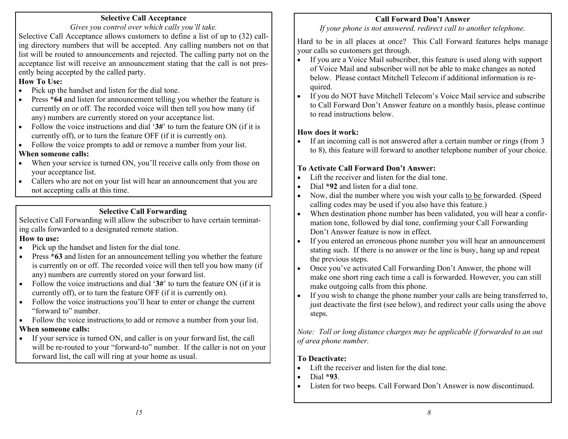# **Selective Call Acceptance**

*Gives you control over which calls you'll take.* 

Selective Call Acceptance allows cust o mers to defi ne <sup>a</sup> list of up to (32) calling director y nu mbers that will be accepte d. Any calling nu mbers n ot o n that list will be routed to announce ments an d rejected. The calling party not on the acceptance list will recei ve an announcement stating that the call is not presently being accepted by the called party.

# **How To Use:**

- •• Pick up the handset and listen for the dial tone.
- •• Press \*64 and listen for announcement telling you whether the feature is currentl y o n or off. T he recorded voice will then tell you how man y (if any) nu mbers are currentl y stored on your acceptance list.
- •• Follow the voice instructions and dial '3#' to turn the feature ON (if it is currently off), or to turn the feature OF F (if it is currently on).
- •• Follow the voice prompts to add or remove a number from your list.

# **When someone calls:**

- •• When your service is turned ON, you'll receive calls only from those on your acceptance list.
- •• Callers who are not on your list will hear an announcement that you are not accepting calls at this time.

# **Selective Call Forwarding**

Selective Call Forwarding will allow the subscriber t o have certai n terminating calls forwarded t o a designate d rem ote station. **How to use:**

- •• Pick up the handset and listen for the dial tone.
- •• Press  $*63$  and listen for an announcement telling you whether the feature is currently on or off. The recorded voice will then tell you how many (if an y) <sup>n</sup> u mbers are currentl y stored o n y o ur forward list.
- •• Follow the voice instructions and dial '3#' to turn the feature ON (if it is currentl y off), or to turn the feature OF F (if it is currentl y on).
- •• Follow the voice instructions you'll hear to enter or change the current "forward to" nu mber.
- •• Follow the voice instructions to add or remove a number from your list.

# **When someone calls:**

•• If your service is turned ON, and caller is on your forward list, the call will be re-routed to your "forward-to" number. If the caller is not on your forward list, the call will ring at y our home as usual.

# **Call Forward Don't Answer**

*If your phone is not answered, redirect call to another telephone.* 

Hard to be in all places at once? This Call Forward features helps manage your calls so custo mers get thro ugh.

- •• If you are a Voice Mail subscriber, this feature is used along with support of Voice Mail and subscriber will not be able to make changes as noted below. Please contact Mitchell Telecom if additional infor mation is required.
- •• If you do NOT have Mitchell Telecom's Voice Mail service and subscribe to Call Forward Don't Answer feature o n <sup>a</sup> monthl y basis, please continue to read instructions below.

# **How does it work:**

•• If an incoming call is not answered after a certain number or rings (from 3 to 8), this feature will forward to another telephone nu mber of yo ur choice.

# **To Activate Call Forward Don't Answer:**

- •• Lift the receiver and listen for the dial tone.
- •• Dial **\*92** and listen for a dial tone.
- •• Now, dial the number where you wish your calls to be forwarded. (Speed calling codes may be used if you also have this feature.)
- •• When destination phone number has been validated, you will hear a confirmation tone, followed b y dial tone, confirming your Call Forwardin g Don't Answer feature is now in effect.
- •• If you entered an erroneous phone number you will hear an announcement stating such. If there is no answer or the line is busy, hang up and repea<sup>t</sup> the previous steps.
- •• Once you've activated Call Forwarding Don't Answer, the phone will make one short ring each time <sup>a</sup> call is forwarded. However, y o u can still make outgoi ng calls fr om t his pho ne.
- • If you wish to change the phone n u mber your calls are being transferred to, just deactivate the first (see below), and redirect y o ur calls using t he above steps.

*Note: Toll or long distance charges may be applicable if forwarded to an out of area p hone number.* 

# **To Deactivate:**

- •• Lift the receiver and listen for the dial tone.
- •Dial **\*93**.
- •• Listen for two beeps. Call Forward Don't Answer is now discontinued.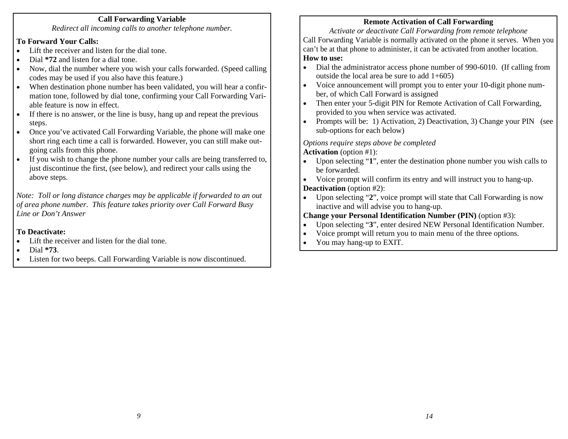### **Call Forwarding Variable**

*Redirect all incoming calls to another telephone number.* 

#### **To Forward Your Calls:**

- •Lift the receiver and listen for the dial tone.
- •Dial **\*72** and listen for a dial tone.
- • Now, dial the number where you wish your calls forwarded. (Speed calling codes may be used if you also have this feature.)
- • When destination phone number has been validated, you will hear a confirmation tone, followed by dial tone, confirming your Call Forwarding Variable feature is now in effect.
- • If there is no answer, or the line is busy, hang up and repeat the previous steps.
- • Once you've activated Call Forwarding Variable, the phone will make one short ring each time a call is forwarded. However, you can still make outgoing calls from this phone.
- • If you wish to change the phone number your calls are being transferred to, just discontinue the first, (see below), and redirect your calls using the above steps.

*Note: Toll or long distance charges may be applicable if forwarded to an out of area phone number. This feature takes priority over Call Forward Busy Line or Don't Answer* 

#### **To Deactivate:**

- •Lift the receiver and listen for the dial tone.
- •Dial **\*73**.
- •Listen for two beeps. Call Forwarding Variable is now discontinued.

# **Remote Activation of Call Forwarding**

*Activate or deactivate Call Forwarding from remote telephone*  Call Forwarding Variable is normally activated on the phone it serves. When you can't be at that phone to administer, it can be activated from another location. **How to use:** 

- • Dial the administrator access phone number of 990-6010. (If calling from outside the local area be sure to add 1+605)
- • Voice announcement will prompt you to enter your 10-digit phone number, of which Call Forward is assigned
- • Then enter your 5-digit PIN for Remote Activation of Call Forwarding, provided to you when service was activated.
- • Prompts will be: 1) Activation, 2) Deactivation, 3) Change your PIN (see sub-options for each below)

*Options require steps above be completed* 

**Activation** (option #1):

- • Upon selecting "**1**", enter the destination phone number you wish calls to be forwarded.
- • Voice prompt will confirm its entry and will instruct you to hang-up. **Deactivation** (option #2):
- • Upon selecting "**2**", voice prompt will state that Call Forwarding is now inactive and will advise you to hang-up.

#### **Change your Personal Identification Number (PIN)** (option #3):

- •Upon selecting "**3**", enter desired NEW Personal Identification Number.
- •Voice prompt will return you to main menu of the three options.
- •You may hang-up to EXIT.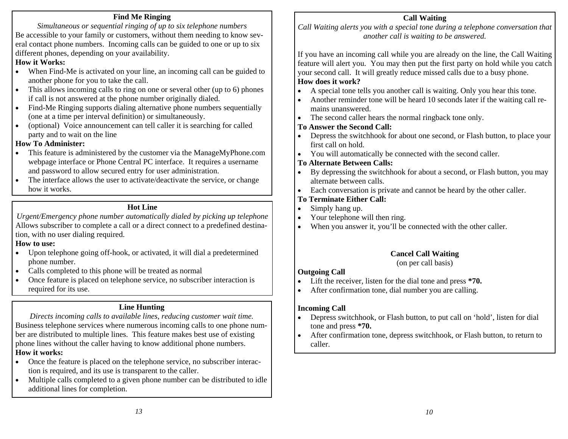# **Find Me Ringing**

*Simultaneous or sequential ringing of up to six telephone numbers*  Be accessible to your family or customers, without them needing to know several contact phone numbers. Incoming calls can be guided to one or up to six different phones, depending on your availability.

#### **How it Works:**

- • When Find-Me is activated on your line, an incoming call can be guided to another phone for you to take the call.
- • This allows incoming calls to ring on one or several other (up to 6) phones if call is not answered at the phone number originally dialed.
- • Find-Me Ringing supports dialing alternative phone numbers sequentially (one at a time per interval definition) or simultaneously.
- • (optional) Voice announcement can tell caller it is searching for called party and to wait on the line

# **How To Administer:**

- • This feature is administered by the customer via the ManageMyPhone.com webpage interface or Phone Central PC interface. It requires a username and password to allow secured entry for user administration.
- • The interface allows the user to activate/deactivate the service, or change how it works.

#### **Hot Line**

*Urgent/Emergency phone number automatically dialed by picking up telephone*  Allows subscriber to complete a call or a direct connect to a predefined destination, with no user dialing required.

#### **How to use:**

- Upon telephone going off-hook, or activated, it will dial a predetermined phone number.
- •Calls completed to this phone will be treated as normal
- • Once feature is placed on telephone service, no subscriber interaction is required for its use.

#### **Line Hunting**

*Directs incoming calls to available lines, reducing customer wait time.*  Business telephone services where numerous incoming calls to one phone number are distributed to multiple lines. This feature makes best use of existing phone lines without the caller having to know additional phone numbers. **How it works:** 

- • Once the feature is placed on the telephone service, no subscriber interaction is required, and its use is transparent to the caller.
- • Multiple calls completed to a given phone number can be distributed to idle additional lines for completion.

#### **Call Waiting**

*Call Waiting alerts you with a special tone during a telephone conversation that another call is waiting to be answered.* 

If you have an incoming call while you are already on the line, the Call Waiting feature will alert you. You may then put the first party on hold while you catch your second call. It will greatly reduce missed calls due to a busy phone. **How does it work?** 

- •A special tone tells you another call is waiting. Only you hear this tone.
- • Another reminder tone will be heard 10 seconds later if the waiting call remains unanswered.
- •The second caller hears the normal ringback tone only.

#### **To Answer the Second Call:**

- • Depress the switchhook for about one second, or Flash button, to place your first call on hold.
- •You will automatically be connected with the second caller.

#### **To Alternate Between Calls:**

- • By depressing the switchhook for about a second, or Flash button, you may alternate between calls.
- •Each conversation is private and cannot be heard by the other caller.

#### **To Terminate Either Call:**

- •Simply hang up.
- •Your telephone will then ring.
- •When you answer it, you'll be connected with the other caller.

#### **Cancel Call Waiting**

(on per call basis)

#### **Outgoing Call**

- •Lift the receiver, listen for the dial tone and press **\*70.**
- •After confirmation tone, dial number you are calling.

#### **Incoming Call**

- • Depress switchhook, or Flash button, to put call on 'hold', listen for dial tone and press **\*70.**
- • After confirmation tone, depress switchhook, or Flash button, to return to caller.